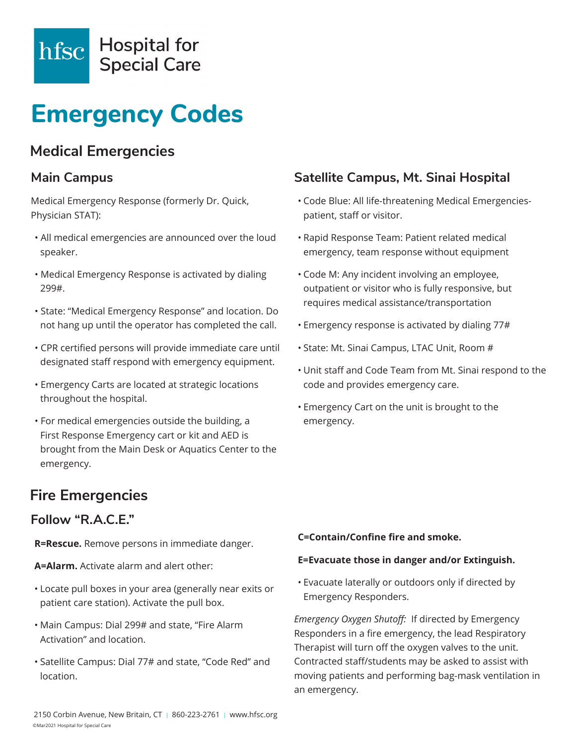

# **Emergency Codes**

# **Medical Emergencies**

### **Main Campus**

Medical Emergency Response (formerly Dr. Quick, Physician STAT):

- All medical emergencies are announced over the loud speaker.
- Medical Emergency Response is activated by dialing 299#.
- State: "Medical Emergency Response" and location. Do not hang up until the operator has completed the call.
- CPR certified persons will provide immediate care until designated staff respond with emergency equipment.
- Emergency Carts are located at strategic locations throughout the hospital.
- For medical emergencies outside the building, a First Response Emergency cart or kit and AED is brought from the Main Desk or Aquatics Center to the emergency.

# **Fire Emergencies**

### **Follow "R.A.C.E."**

**R=Rescue.** Remove persons in immediate danger.

**A=Alarm.** Activate alarm and alert other:

- Locate pull boxes in your area (generally near exits or patient care station). Activate the pull box.
- Main Campus: Dial 299# and state, "Fire Alarm Activation" and location.
- Satellite Campus: Dial 77# and state, "Code Red" and location.

### **Satellite Campus, Mt. Sinai Hospital**

- Code Blue: All life-threatening Medical Emergenciespatient, staff or visitor.
- Rapid Response Team: Patient related medical emergency, team response without equipment
- Code M: Any incident involving an employee, outpatient or visitor who is fully responsive, but requires medical assistance/transportation
- Emergency response is activated by dialing 77#
- State: Mt. Sinai Campus, LTAC Unit, Room #
- Unit staff and Code Team from Mt. Sinai respond to the code and provides emergency care.
- Emergency Cart on the unit is brought to the emergency.

#### **C=Contain/Confine fire and smoke.**

#### **E=Evacuate those in danger and/or Extinguish.**

• Evacuate laterally or outdoors only if directed by Emergency Responders.

*Emergency Oxygen Shutoff:* If directed by Emergency Responders in a fire emergency, the lead Respiratory Therapist will turn off the oxygen valves to the unit. Contracted staff/students may be asked to assist with moving patients and performing bag-mask ventilation in an emergency.